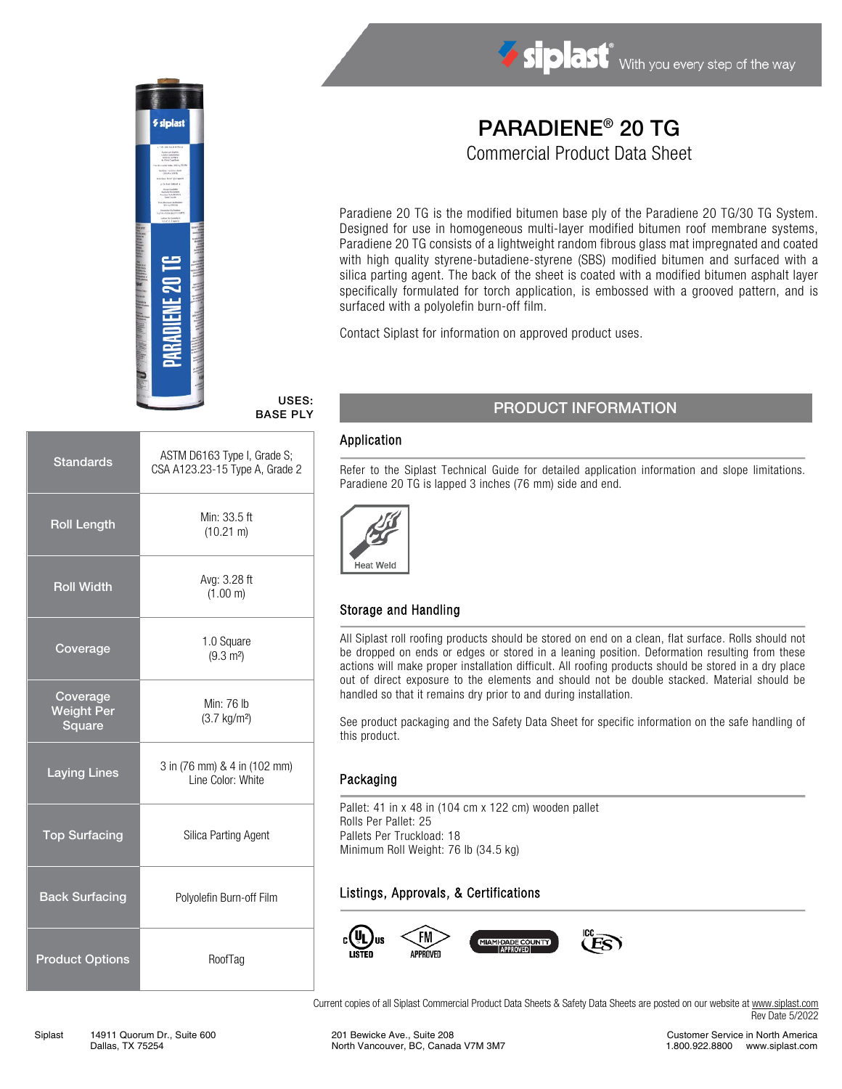

# Siplast With you every step of the way

## PARADIENE® 20 TG

Commercial Product Data Sheet

Paradiene 20 TG is the modified bitumen base ply of the Paradiene 20 TG/30 TG System. Designed for use in homogeneous multi-layer modified bitumen roof membrane systems, Paradiene 20 TG consists of a lightweight random fibrous glass mat impregnated and coated with high quality styrene-butadiene-styrene (SBS) modified bitumen and surfaced with a silica parting agent. The back of the sheet is coated with a modified bitumen asphalt layer specifically formulated for torch application, is embossed with a grooved pattern, and is surfaced with a polyolefin burn-off film.

Contact Siplast for information on approved product uses.

#### USES: BASE PLY

| <b>Standards</b>                        | ASTM D6163 Type I, Grade S;<br>CSA A123.23-15 Type A, Grade 2 |
|-----------------------------------------|---------------------------------------------------------------|
| <b>Roll Length</b>                      | Min: 33.5 ft<br>$(10.21 \text{ m})$                           |
| <b>Roll Width</b>                       | Avg: 3.28 ft<br>(1.00 m)                                      |
| Coverage                                | 1.0 Square<br>$(9.3 \text{ m}^2)$                             |
| Coverage<br><b>Weight Per</b><br>Square | Min: 76 lb<br>$(3.7 \text{ kg/m}^2)$                          |
| <b>Laying Lines</b>                     | 3 in (76 mm) & 4 in (102 mm)<br>Line Color: White             |
| <b>Top Surfacing</b>                    | Silica Parting Agent                                          |
| <b>Back Surfacing</b>                   | Polyolefin Burn-off Film                                      |
| <b>Product Options</b>                  | RoofTag                                                       |

### PRODUCT INFORMATION

#### Application

Refer to the Siplast Technical Guide for detailed application information and slope limitations. Paradiene 20 TG is lapped 3 inches (76 mm) side and end.



#### Storage and Handling

All Siplast roll roofing products should be stored on end on a clean, flat surface. Rolls should not be dropped on ends or edges or stored in a leaning position. Deformation resulting from these actions will make proper installation difficult. All roofing products should be stored in a dry place out of direct exposure to the elements and should not be double stacked. Material should be handled so that it remains dry prior to and during installation.

See product packaging and the Safety Data Sheet for specific information on the safe handling of this product.

#### Packaging

Pallet: 41 in x 48 in (104 cm x 122 cm) wooden pallet Rolls Per Pallet: 25 Pallets Per Truckload: 18 Minimum Roll Weight: 76 lb (34.5 kg)

#### Listings, Approvals, & Certifications



Current copies of all Siplast Commercial Product Data Sheets & Safety Data Sheets are posted on our website a[t www.siplast.com](http://www.siplast.com/) Rev Date 5/2022

Customer Service in North America 1.800.922.8800 www.siplast.com